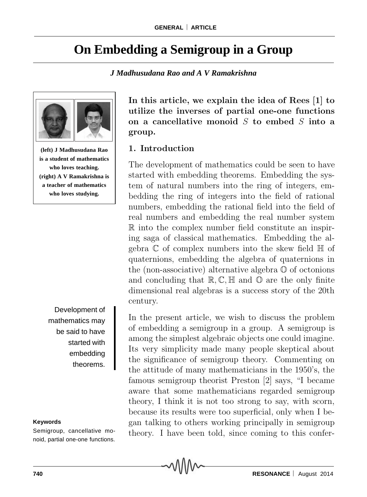# **On Embedding a Semigroup in a Group**

*J Madhusudana Rao and A V Ramakrishna*



**(left) J Madhusudana Rao is a student of mathematics who loves teaching. (right) A V Ramakrishna is a teacher of mathematics who loves studying.**

Development of mathematics may be said to have started with embedding theorems.

#### **Keywords**

Semigroup, cancellative monoid, partial one-one functions. **In this article, we explain the idea of Rees [1] to utilize the inverses of partial one-one functions on a cancellative monoid** S **to embed** S **into a group.**

#### **1. Introduction**

The development of mathematics could be seen to have started with embedding theorems. Embedding the system of natural numbers into the ring of integers, embedding the ring of integers into the field of rational numbers, embedding the rational field into the field of real numbers and embedding the real number system R into the complex number field constitute an inspiring saga of classical mathematics. Embedding the algebra  $\mathbb C$  of complex numbers into the skew field  $\mathbb H$  of quaternions, embedding the algebra of quaternions in the (non-associative) alternative algebra O of octonions and concluding that  $\mathbb{R}, \mathbb{C}, \mathbb{H}$  and  $\mathbb{O}$  are the only finite dimensional real algebras is a success story of the 20th century.

In the present article, we wish to discuss the problem of embedding a semigroup in a group. A semigroup is among the simplest algebraic objects one could imagine. Its very simplicity made many people skeptical about the significance of semigroup theory. Commenting on the attitude of many mathematicians in the 1950's, the famous semigroup theorist Preston [2] says, "I became aware that some mathematicians regarded semigroup theory, I think it is not too strong to say, with scorn, because its results were too superficial, only when I began talking to others working principally in semigroup theory. I have been told, since coming to this confer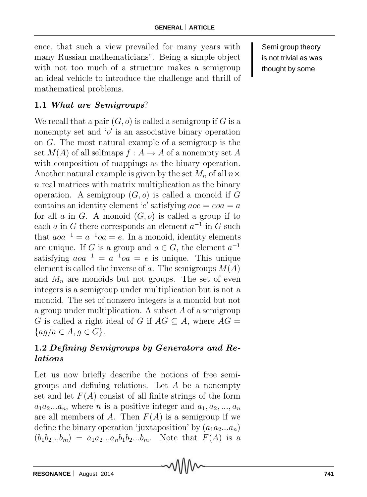ence, that such a view prevailed for many years with many Russian mathematicians". Being a simple object with not too much of a structure makes a semigroup an ideal vehicle to introduce the challenge and thrill of mathematical problems.

### **1.1** *What are Semigroups*?

We recall that a pair  $(G, o)$  is called a semigroup if G is a nonempty set and  $'o'$  is an associative binary operation on G. The most natural example of a semigroup is the set  $M(A)$  of all selfmaps  $f : A \to A$  of a nonempty set A with composition of mappings as the binary operation. Another natural example is given by the set M*<sup>n</sup>* of all n*×*  $n$  real matrices with matrix multiplication as the binary operation. A semigroup  $(G, o)$  is called a monoid if G contains an identity element 'e' satisfying  $aoe = eoa = a$ for all  $a$  in  $G$ . A monoid  $(G, o)$  is called a group if to each a in G there corresponds an element  $a^{-1}$  in G such that  $a\overline{a}a^{-1} = a^{-1}\overline{a}a = e$ . In a monoid, identity elements are unique. If G is a group and  $a \in G$ , the element  $a^{-1}$ satisfying  $a\overline{a}^{-1} = a^{-1}\overline{a} = e$  is unique. This unique element is called the inverse of a. The semigroups  $M(A)$ and  $M_n$  are monoids but not groups. The set of even integers is a semigroup under multiplication but is not a monoid. The set of nonzero integers is a monoid but not a group under multiplication. A subset A of a semigroup G is called a right ideal of G if  $AG \subseteq A$ , where  $AG =$ *{*ag/a *∈* A, g *∈* G*}*.

### **1.2** *Defining Semigroups by Generators and Relations*

Let us now briefly describe the notions of free semigroups and defining relations. Let  $A$  be a nonempty set and let  $F(A)$  consist of all finite strings of the form  $a_1a_2...a_n$ , where *n* is a positive integer and  $a_1, a_2, ..., a_n$ are all members of A. Then  $F(A)$  is a semigroup if we define the binary operation 'juxtaposition' by  $(a_1a_2...a_n)$  $(b_1b_2...b_m) = a_1a_2...a_nb_1b_2...b_m$ . Note that  $F(A)$  is a

Semi group theory is not trivial as was thought by some.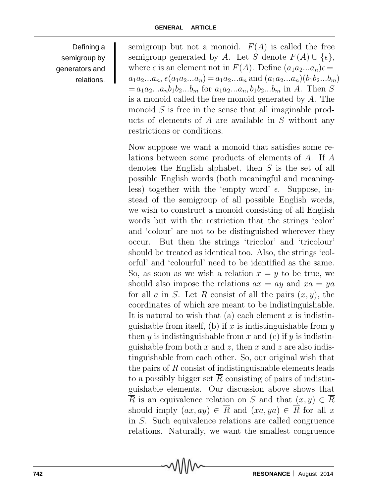Defining a semigroup by generators and relations. semigroup but not a monoid.  $F(A)$  is called the free semigroup generated by A. Let S denote  $F(A) \cup \{\epsilon\},\$ where  $\epsilon$  is an element not in  $F(A)$ . Define  $(a_1a_2...a_n)\epsilon =$  $a_1 a_2 ... a_n$ ,  $\epsilon(a_1 a_2 ... a_n) = a_1 a_2 ... a_n$  and  $(a_1 a_2 ... a_n)(b_1 b_2 ... b_m)$  $= a_1 a_2 ... a_n b_1 b_2 ... b_m$  for  $a_1 a_2 ... a_n b_1 b_2 ... b_m$  in A. Then S is a monoid called the free monoid generated by A. The monoid  $S$  is free in the sense that all imaginable products of elements of A are available in S without any restrictions or conditions.

Now suppose we want a monoid that satisfies some relations between some products of elements of A. If A denotes the English alphabet, then S is the set of all possible English words (both meaningful and meaningless) together with the 'empty word'  $\epsilon$ . Suppose, instead of the semigroup of all possible English words, we wish to construct a monoid consisting of all English words but with the restriction that the strings 'color' and 'colour' are not to be distinguished wherever they occur. But then the strings 'tricolor' and 'tricolour' should be treated as identical too. Also, the strings 'colorful' and 'colourful' need to be identified as the same. So, as soon as we wish a relation  $x = y$  to be true, we should also impose the relations  $ax = ay$  and  $xa = ya$ for all a in S. Let R consist of all the pairs  $(x, y)$ , the coordinates of which are meant to be indistinguishable. It is natural to wish that (a) each element  $x$  is indistinguishable from itself, (b) if x is indistinguishable from  $y$ then y is indistinguishable from x and (c) if y is indistinguishable from both x and z, then x and z are also indistinguishable from each other. So, our original wish that the pairs of  $R$  consist of indistinguishable elements leads to a possibly bigger set  $\overline{R}$  consisting of pairs of indistinguishable elements. Our discussion above shows that R is an equivalence relation on S and that  $(x, y) \in R$ should imply  $(ax, ay) \in \overline{R}$  and  $(xa, ya) \in \overline{R}$  for all x in S. Such equivalence relations are called congruence relations. Naturally, we want the smallest congruence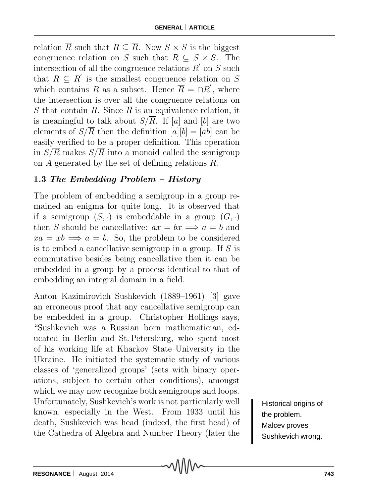relation  $\overline{R}$  such that  $R \subseteq \overline{R}$ . Now  $S \times S$  is the biggest congruence relation on S such that  $R \subseteq S \times S$ . The intersection of all the congruence relations  $R'$  on  $S$  such that  $R \subseteq R'$  is the smallest congruence relation on S which contains R as a subset. Hence  $R = \bigcap R'$ , where the intersection is over all the congruence relations on S that contain R. Since  $\overline{R}$  is an equivalence relation, it is meaningful to talk about  $S/\overline{R}$ . If [a] and [b] are two elements of  $S/\overline{R}$  then the definition  $[a][b]=[ab]$  can be easily verified to be a proper definition. This operation in  $S/\overline{R}$  makes  $S/\overline{R}$  into a monoid called the semigroup on A generated by the set of defining relations R.

### **1.3** *The Embedding Problem – History*

The problem of embedding a semigroup in a group remained an enigma for quite long. It is observed that if a semigroup  $(S, \cdot)$  is embeddable in a group  $(G, \cdot)$ then S should be cancellative:  $ax = bx \implies a = b$  and  $xa = xb \implies a = b$ . So, the problem to be considered is to embed a cancellative semigroup in a group. If S is commutative besides being cancellative then it can be embedded in a group by a process identical to that of embedding an integral domain in a field.

Anton Kazimirovich Sushkevich (1889–1961) [3] gave an erroneous proof that any cancellative semigroup can be embedded in a group. Christopher Hollings says, "Sushkevich was a Russian born mathematician, educated in Berlin and St. Petersburg, who spent most of his working life at Kharkov State University in the Ukraine. He initiated the systematic study of various classes of 'generalized groups' (sets with binary operations, subject to certain other conditions), amongst which we may now recognize both semigroups and loops. Unfortunately, Sushkevich's work is not particularly well known, especially in the West. From 1933 until his death, Sushkevich was head (indeed, the first head) of the Cathedra of Algebra and Number Theory (later the

Historical origins of the problem. Malcev proves Sushkevich wrong.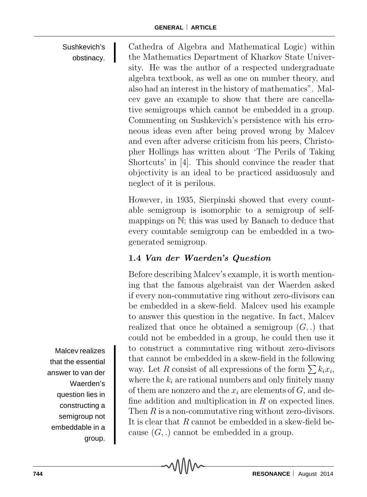#### Sushkevich's obstinacy. Cathedra of Algebra and Mathematical Logic) within the Mathematics Department of Kharkov State University. He was the author of a respected undergraduate algebra textbook, as well as one on number theory, and also had an interest in the history of mathematics". Malcev gave an example to show that there are cancellative semigroups which cannot be embedded in a group.

Commenting on Sushkevich's persistence with his erroneous ideas even after being proved wrong by Malcev and even after adverse criticism from his peers, Christopher Hollings has written about 'The Perils of Taking Shortcuts' in [4]. This should convince the reader that objectivity is an ideal to be practiced assiduosuly and neglect of it is perilous.

However, in 1935, Sierpinski showed that every countable semigroup is isomorphic to a semigroup of selfmappings on N; this was used by Banach to deduce that every countable semigroup can be embedded in a twogenerated semigroup.

## **1.4** *Van der Waerden's Question*

Before describing Malcev's example, it is worth mentioning that the famous algebraist van der Waerden asked if every non-commutative ring without zero-divisors can be embedded in a skew-field. Malcev used his example to answer this question in the negative. In fact, Malcev realized that once he obtained a semigroup  $(G, .)$  that could not be embedded in a group, he could then use it to construct a commutative ring without zero-divisors that cannot be embedded in a skew-field in the following way. Let R consist of all expressions of the form  $\sum k_i x_i$ , where the  $k_i$  are rational numbers and only finitely many of them are nonzero and the  $x_i$  are elements of  $G$ , and define addition and multiplication in  $R$  on expected lines. Then  $R$  is a non-commutative ring without zero-divisors. It is clear that R cannot be embedded in a skew-field because  $(G, .)$  cannot be embedded in a group.

Malcev realizes that the essential answer to van der Waerden's question lies in constructing a semigroup not embeddable in a group.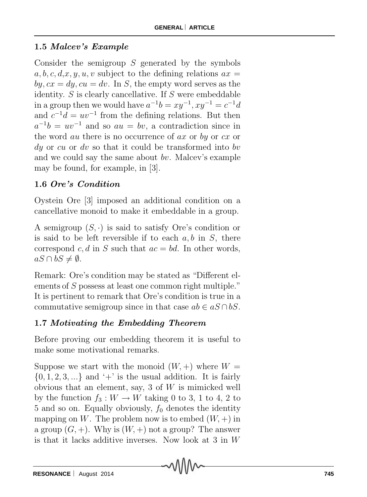### **1.5** *Malcev's Example*

Consider the semigroup  $S$  generated by the symbols  $a, b, c, d, x, y, u, v$  subject to the defining relations  $ax =$  $by, cx = dy, cu = dv$ . In S, the empty word serves as the identity. S is clearly cancellative. If S were embeddable in a group then we would have  $a^{-1}b = xy^{-1}$ ,  $xy^{-1} = c^{-1}d$ and  $c^{-1}d = uv^{-1}$  from the defining relations. But then  $a^{-1}b = uv^{-1}$  and so  $au = bv$ , a contradiction since in the word *au* there is no occurrence of *ax* or *by* or *cx* or  $dy$  or cu or dv so that it could be transformed into bv and we could say the same about bv. Malcev's example may be found, for example, in [3].

### **1.6** *Ore's Condition*

Oystein Ore [3] imposed an additional condition on a cancellative monoid to make it embeddable in a group.

A semigroup  $(S, \cdot)$  is said to satisfy Ore's condition or is said to be left reversible if to each  $a, b$  in  $S$ , there correspond c, d in S such that  $ac = bd$ . In other words,  $aS \cap bS \neq ∅$ .

Remark: Ore's condition may be stated as "Different elements of S possess at least one common right multiple." It is pertinent to remark that Ore's condition is true in a commutative semigroup since in that case  $ab \in aS \cap bS$ .

### **1.7** *Motivating the Embedding Theorem*

Before proving our embedding theorem it is useful to make some motivational remarks.

Suppose we start with the monoid  $(W, +)$  where  $W =$  $\{0, 1, 2, 3, \ldots\}$  and  $' +'$  is the usual addition. It is fairly obvious that an element, say, 3 of  $W$  is mimicked well by the function  $f_3 : W \to W$  taking 0 to 3, 1 to 4, 2 to 5 and so on. Equally obviously,  $f_0$  denotes the identity mapping on W. The problem now is to embed  $(W, +)$  in a group  $(G, +)$ . Why is  $(W, +)$  not a group? The answer is that it lacks additive inverses. Now look at 3 in W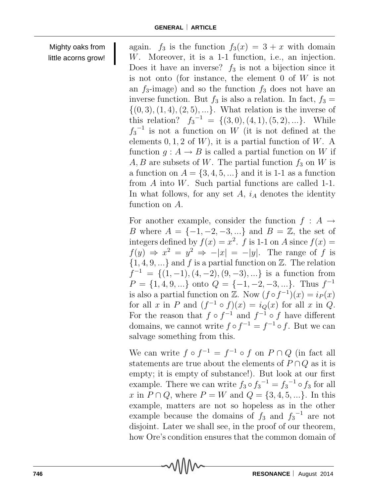Mighty oaks from little acorns grow! again.  $f_3$  is the function  $f_3(x) = 3 + x$  with domain W. Moreover, it is a 1-1 function, i.e., an injection. Does it have an inverse?  $f_3$  is not a bijection since it is not onto (for instance, the element 0 of W is not an  $f_3$ -image) and so the function  $f_3$  does not have an inverse function. But  $f_3$  is also a relation. In fact,  $f_3 =$  $\{(0, 3), (1, 4), (2, 5), ...\}$ . What relation is the inverse of this relation?  $f_3^{-1} = \{(3,0), (4,1), (5,2), ...\}$ . While  $f_3^{-1}$  is not a function on W (it is not defined at the elements  $0, 1, 2$  of W), it is a partial function of W. A function  $q: A \to B$  is called a partial function on W if A, B are subsets of W. The partial function  $f_3$  on W is a function on  $A = \{3, 4, 5, ...\}$  and it is 1-1 as a function from A into W. Such partial functions are called 1-1. In what follows, for any set  $A$ ,  $i_A$  denotes the identity function on A.

For another example, consider the function  $f : A \rightarrow$ B where  $A = \{-1, -2, -3, ...\}$  and  $B = \mathbb{Z}$ , the set of integers defined by  $f(x) = x^2$ . f is 1-1 on A since  $f(x) =$  $f(y) \Rightarrow x^2 = y^2 \Rightarrow -|x| = -|y|$ . The range of f is  ${1, 4, 9, \ldots}$  and f is a partial function on  $\mathbb{Z}$ . The relation  $f^{-1} = \{(1, -1), (4, -2), (9, -3), ...\}$  is a function from  $P = \{1, 4, 9, ...\}$  onto  $Q = \{-1, -2, -3, ...\}$ . Thus  $f^{-1}$ is also a partial function on Z. Now  $(f \circ f^{-1})(x) = i_P(x)$ for all x in P and  $(f^{-1} \circ f)(x) = i_Q(x)$  for all x in Q. For the reason that  $f \circ f^{-1}$  and  $f^{-1} \circ f$  have different domains, we cannot write  $f \circ f^{-1} = f^{-1} \circ f$ . But we can salvage something from this.

We can write  $f \circ f^{-1} = f^{-1} \circ f$  on  $P \cap Q$  (in fact all statements are true about the elements of  $P \cap Q$  as it is empty; it is empty of substance!). But look at our first example. There we can write  $f_3 \circ f_3^{-1} = f_3^{-1} \circ f_3$  for all *x* in *P* ∩ *Q*, where *P* = *W* and *Q* = {3, 4, 5, ...}. In this example, matters are not so hopeless as in the other example because the domains of  $f_3$  and  $f_3^{-1}$  are not disjoint. Later we shall see, in the proof of our theorem, how Ore's condition ensures that the common domain of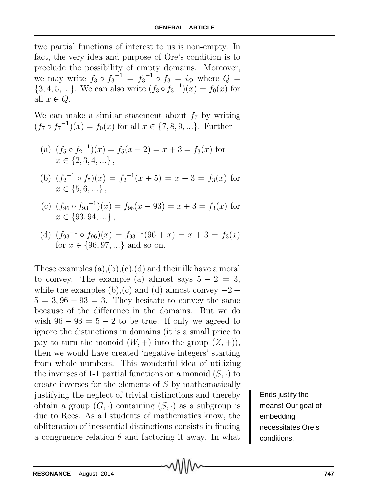two partial functions of interest to us is non-empty. In fact, the very idea and purpose of Ore's condition is to preclude the possibility of empty domains. Moreover, we may write  $f_3 \circ f_3^{-1} = f_3^{-1} \circ f_3 = i_Q$  where  $Q =$  $\{3, 4, 5, ...\}$ . We can also write  $(f_3 \circ f_3^{-1})(x) = f_0(x)$  for all  $x \in Q$ .

We can make a similar statement about  $f_7$  by writing  $(f_7 \circ f_7^{-1})(x) = f_0(x)$  for all  $x \in \{7, 8, 9, ...\}$ . Further

- (a)  $(f_5 \circ f_2^{-1})(x) = f_5(x-2) = x+3 = f_3(x)$  for  $x \in \{2, 3, 4, ...\}$
- (b)  $(f_2^{-1} \circ f_5)(x) = f_2^{-1}(x+5) = x+3 = f_3(x)$  for  $x \in \{5, 6, ...\}$
- (c)  $(f_{96} \circ f_{93}^{-1})(x) = f_{96}(x 93) = x + 3 = f_3(x)$  for x *∈ {*93, 94, ...*}* ,
- (d)  $(f_{93}^{-1} \circ f_{96})(x) = f_{93}^{-1}(96+x) = x + 3 = f_3(x)$ for x *∈ {*96, 97, ...*}* and so on.

These examples  $(a), (b), (c), (d)$  and their ilk have a moral to convey. The example (a) almost says  $5 - 2 = 3$ , while the examples (b),(c) and (d) almost convey  $-2$  +  $5=3, 96-93=3$ . They hesitate to convey the same because of the difference in the domains. But we do wish  $96 - 93 = 5 - 2$  to be true. If only we agreed to ignore the distinctions in domains (it is a small price to pay to turn the monoid  $(W, +)$  into the group  $(Z, +)$ , then we would have created 'negative integers' starting from whole numbers. This wonderful idea of utilizing the inverses of 1-1 partial functions on a monoid  $(S, \cdot)$  to create inverses for the elements of S by mathematically justifying the neglect of trivial distinctions and thereby obtain a group  $(G, \cdot)$  containing  $(S, \cdot)$  as a subgroup is due to Rees. As all students of mathematics know, the obliteration of inessential distinctions consists in finding a congruence relation  $\theta$  and factoring it away. In what

Ends justify the means! Our goal of embedding necessitates Ore's conditions.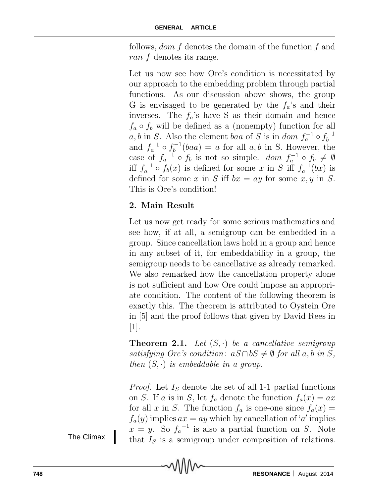follows, *dom*  $f$  denotes the domain of the function  $f$  and ran f denotes its range.

Let us now see how Ore's condition is necessitated by our approach to the embedding problem through partial functions. As our discussion above shows, the group G is envisaged to be generated by the  $f_a$ 's and their inverses. The  $f_a$ 's have S as their domain and hence  $f_a \circ f_b$  will be defined as a (nonempty) function for all a, b in S. Also the element baa of S is in dom  $f_a^{-1} \circ f_b^{-1}$ and  $f_a^{-1} \circ f_b^{-1}(baa) = a$  for all  $a, b$  in S. However, the case of  $f_a^{-1} \circ f_b$  is not so simple. dom  $f_a^{-1} \circ f_b \neq \emptyset$ iff  $f_a^{-1} \circ f_b(x)$  is defined for some x in S iff  $f_a^{-1}(bx)$  is defined for some x in S iff  $bx = ay$  for some x, y in S. This is Ore's condition!

### **2. Main Result**

Let us now get ready for some serious mathematics and see how, if at all, a semigroup can be embedded in a group. Since cancellation laws hold in a group and hence in any subset of it, for embeddability in a group, the semigroup needs to be cancellative as already remarked. We also remarked how the cancellation property alone is not sufficient and how Ore could impose an appropriate condition. The content of the following theorem is exactly this. The theorem is attributed to Oystein Ore in [5] and the proof follows that given by David Rees in  $|1|$ .

**Theorem 2.1.** Let  $(S, \cdot)$  be a cancellative semigroup  $satisfying$  *Ore's condition*:  $aS \cap bS \neq \emptyset$  *for all*  $a, b$  *in*  $S$ *, then*  $(S, \cdot)$  *is embeddable in a group.* 

*Proof.* Let I*<sup>S</sup>* denote the set of all 1-1 partial functions on *S*. If a is in *S*, let  $f_a$  denote the function  $f_a(x) = ax$ for all x in S. The function  $f_a$  is one-one since  $f_a(x) =$  $f_a(y)$  implies  $ax = ay$  which by cancellation of 'a' implies  $x = y$ . So  $f_a^{-1}$  is also a partial function on S. Note that I*<sup>S</sup>* is a semigroup under composition of relations.

The Climax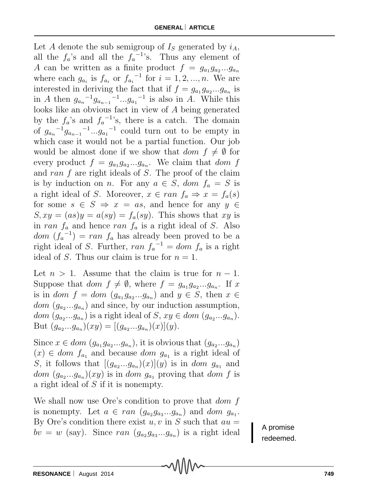Let A denote the sub semigroup of  $I<sub>S</sub>$  generated by  $i<sub>A</sub>$ , all the  $f_a$ 's and all the  $f_a^{-1}$ 's. Thus any element of A can be written as a finite product  $f = g_{a_1}g_{a_2}...g_{a_n}$ where each  $g_{a_i}$  is  $f_{a_i}$  or  $f_{a_i}^{-1}$  for  $i = 1, 2, ..., n$ . We are interested in deriving the fact that if  $f = g_{a_1} g_{a_2} \dots g_{a_n}$  is in *A* then  $g_{a_n}^{-1}g_{a_{n-1}}^{-1}...g_{a_1}^{-1}$  is also in *A*. While this looks like an obvious fact in view of A being generated by the  $f_a$ 's and  $f_a^{-1}$ 's, there is a catch. The domain of  $g_{a_n}^{-1}g_{a_{n-1}}^{-1}$ ... $g_{a_1}^{-1}$  could turn out to be empty in which case it would not be a partial function. Our job would be almost done if we show that  $dom f \neq \emptyset$  for every product  $f = g_{a_1}g_{a_2}...g_{a_n}$ . We claim that *dom* f and ran  $f$  are right ideals of  $S$ . The proof of the claim is by induction on *n*. For any  $a \in S$ , dom  $f_a = S$  is a right ideal of S. Moreover,  $x \in ran f_a \Rightarrow x = f_a(s)$ for some  $s \in S \Rightarrow x = as$ , and hence for any  $y \in$  $S, xy = (as)y = a(sy) = f_a(sy)$ . This shows that xy is in ran  $f_a$  and hence ran  $f_a$  is a right ideal of S. Also  $dom (f_a^{-1}) = ran f_a$  has already been proved to be a right ideal of S. Further,  $ran f_a^{-1} = dom f_a$  is a right ideal of S. Thus our claim is true for  $n = 1$ .

Let  $n > 1$ . Assume that the claim is true for  $n - 1$ . Suppose that dom  $f \neq \emptyset$ , where  $f = g_{a_1}g_{a_2}...g_{a_n}$ . If x is in dom  $f = dom(g_{a_1}g_{a_2}...g_{a_n})$  and  $y \in S$ , then  $x \in$  $dom (g_{a_2}...g_{a_n})$  and since, by our induction assumption, dom  $(g_{a_2}...g_{a_n})$  is a right ideal of S,  $xy \in dom(g_{a_2}...g_{a_n})$ . But  $(g_{a_2}...g_{a_n})(xy) = [(g_{a_2}...g_{a_n})(x)](y).$ 

Since  $x \in dom(g_{a_1}g_{a_2}...g_{a_n})$ , it is obvious that  $(g_{a_2}...g_{a_n})$  $(x) \in dom f_{a_1}$  and because *dom*  $g_{a_1}$  is a right ideal of S, it follows that  $[(g_{a_2}...g_{a_n})(x)](y)$  is in *dom*  $g_{a_1}$  and  $dom (g_{a_2}...g_{a_n})(xy)$  is in dom  $g_{a_1}$  proving that dom f is a right ideal of S if it is nonempty.

We shall now use Ore's condition to prove that *dom* f is nonempty. Let  $a \in ran(g_{a_2}g_{a_3}...g_{a_n})$  and dom  $g_{a_1}$ . By Ore's condition there exist  $u, v$  in S such that  $au =$  $bv = w$  (say). Since ran  $(g_{a_2}g_{a_3}...g_{a_n})$  is a right ideal

A promise redeemed.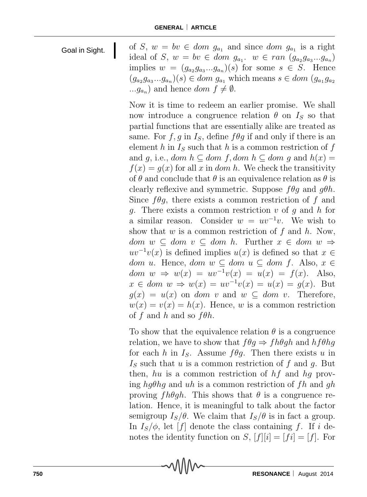| Goal in Sight. | of S, $w = bv \in dom \ g_{a_1}$ and since dom $g_{a_1}$ is a right                   |
|----------------|---------------------------------------------------------------------------------------|
|                | ideal of S, $w = bv \in dom g_{a_1}$ . $w \in ran (g_{a_2}g_{a_3}g_{a_n})$            |
|                | implies $w = (g_{a_2}g_{a_3}g_{a_n})(s)$ for some $s \in S$ . Hence                   |
|                | $(g_{a_2}g_{a_3}g_{a_n})(s) \in dom g_{a_1}$ which means $s \in dom (g_{a_1}g_{a_2})$ |
|                | $, g_{a_n}$ and hence <i>dom</i> $f \neq \emptyset$ .                                 |
|                |                                                                                       |

Now it is time to redeem an earlier promise. We shall now introduce a congruence relation  $\theta$  on  $I_s$  so that partial functions that are essentially alike are treated as same. For  $f, g$  in  $I_s$ , define  $f \theta g$  if and only if there is an element h in  $I<sub>S</sub>$  such that h is a common restriction of f and g, i.e., dom  $h \subseteq$  dom f, dom  $h \subseteq$  dom g and  $h(x) =$  $f(x) = g(x)$  for all x in dom h. We check the transitivity of  $\theta$  and conclude that  $\theta$  is an equivalence relation as  $\theta$  is clearly reflexive and symmetric. Suppose  $f \theta q$  and  $q \theta h$ . Since  $f_{\theta q}$ , there exists a common restriction of f and q. There exists a common restriction  $v$  of q and  $h$  for a similar reason. Consider  $w = uv^{-1}v$ . We wish to show that  $w$  is a common restriction of  $f$  and  $h$ . Now, dom  $w ⊂ dom v ⊂ dom h$ . Further  $x ∈ dom w ⇒$  $uv^{-1}v(x)$  is defined implies  $u(x)$  is defined so that  $x \in$ dom *u*. Hence, dom *w*  $\subseteq$  dom *u*  $\subseteq$  dom *f*. Also, *x*  $\in$ dom  $w \Rightarrow w(x) = uv^{-1}v(x) = u(x) = f(x)$ . Also,  $x \in dom \ w \Rightarrow w(x) = uv^{-1}v(x) = u(x) = q(x)$ . But  $g(x) = u(x)$  on *dom v* and  $w \subseteq dom v$ . Therefore,  $w(x) = v(x) = h(x)$ . Hence, w is a common restriction of f and h and so  $f\theta h$ .

To show that the equivalence relation  $\theta$  is a congruence relation, we have to show that  $f\theta q \Rightarrow fh\theta q h$  and  $hf\theta hq$ for each h in  $I_s$ . Assume  $f \theta g$ . Then there exists u in  $I<sub>S</sub>$  such that u is a common restriction of f and g. But then, hu is a common restriction of  $hf$  and  $hq$  proving hg $\theta$ hg and uh is a common restriction of fh and gh proving  $fh\theta gh$ . This shows that  $\theta$  is a congruence relation. Hence, it is meaningful to talk about the factor semigroup  $I_S/\theta$ . We claim that  $I_S/\theta$  is in fact a group. In  $I_s/\phi$ , let [f] denote the class containing f. If i denotes the identity function on S,  $[f][i]=[fi]=[f]$ . For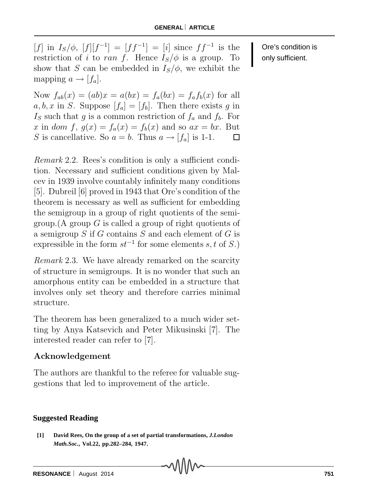$[f]$  in  $I_S/\phi$ ,  $[f][f^{-1}] = [ff^{-1}] = [i]$  since  $ff^{-1}$  is the restriction of i to ran f. Hence  $I_s/\phi$  is a group. To show that S can be embedded in  $I_s/\phi$ , we exhibit the mapping  $a \rightarrow [f_a]$ .

Now  $f_{ab}(x)=(ab)x=a(bx)=f_a(bx)=f_af_b(x)$  for all  $a, b, x$  in S. Suppose  $[f_a]=[f_b]$ . Then there exists g in  $I<sub>S</sub>$  such that g is a common restriction of  $f<sub>a</sub>$  and  $f<sub>b</sub>$ . For x in dom f,  $g(x) = f_a(x) = f_b(x)$  and so  $ax = bx$ . But S is cancellative. So  $a = b$ . Thus  $a \rightarrow [f_a]$  is 1-1. 囗

*Remark* 2.2. Rees's condition is only a sufficient condition. Necessary and sufficient conditions given by Malcev in 1939 involve countably infinitely many conditions [5]. Dubreil [6] proved in 1943 that Ore's condition of the theorem is necessary as well as sufficient for embedding the semigroup in a group of right quotients of the semigroup. (A group  $G$  is called a group of right quotients of a semigroup  $S$  if  $G$  contains  $S$  and each element of  $G$  is expressible in the form  $st^{-1}$  for some elements s, t of S.)

*Remark* 2.3. We have already remarked on the scarcity of structure in semigroups. It is no wonder that such an amorphous entity can be embedded in a structure that involves only set theory and therefore carries minimal structure.

The theorem has been generalized to a much wider setting by Anya Katsevich and Peter Mikusinski [7]. The interested reader can refer to [7].

#### **Acknowledgement**

The authors are thankful to the referee for valuable suggestions that led to improvement of the article.

#### **Suggested Reading**

**[1] David Rees, On the group of a set of partial transformations,** *J.London Math.Soc.***, Vol.22, pp.282–284, 1947.**

Ore's condition is only sufficient.